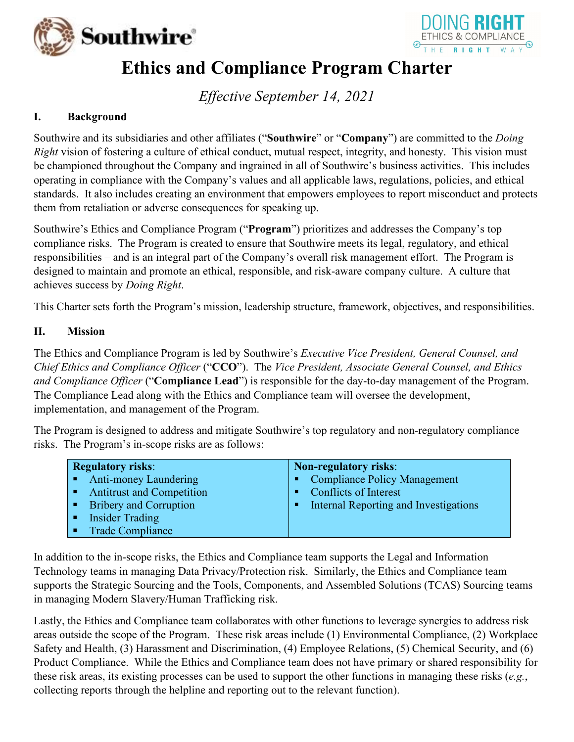



# **Ethics and Compliance Program Charter**

*Effective September 14, 2021*

#### **I. Background**

Southwire and its subsidiaries and other affiliates ("**Southwire**" or "**Company**") are committed to the *Doing Right* vision of fostering a culture of ethical conduct, mutual respect, integrity, and honesty. This vision must be championed throughout the Company and ingrained in all of Southwire's business activities. This includes operating in compliance with the Company's values and all applicable laws, regulations, policies, and ethical standards. It also includes creating an environment that empowers employees to report misconduct and protects them from retaliation or adverse consequences for speaking up.

Southwire's Ethics and Compliance Program ("**Program**") prioritizes and addresses the Company's top compliance risks. The Program is created to ensure that Southwire meets its legal, regulatory, and ethical responsibilities – and is an integral part of the Company's overall risk management effort. The Program is designed to maintain and promote an ethical, responsible, and risk-aware company culture. A culture that achieves success by *Doing Right*.

This Charter sets forth the Program's mission, leadership structure, framework, objectives, and responsibilities.

#### **II. Mission**

The Ethics and Compliance Program is led by Southwire's *Executive Vice President, General Counsel, and Chief Ethics and Compliance Officer* ("**CCO**"). The *Vice President, Associate General Counsel, and Ethics and Compliance Officer* ("**Compliance Lead**") is responsible for the day-to-day management of the Program. The Compliance Lead along with the Ethics and Compliance team will oversee the development, implementation, and management of the Program.

The Program is designed to address and mitigate Southwire's top regulatory and non-regulatory compliance risks. The Program's in-scope risks are as follows:

| <b>Regulatory risks:</b>    | Non-regulatory risks:                 |
|-----------------------------|---------------------------------------|
| • Anti-money Laundering     | • Compliance Policy Management        |
| • Antitrust and Competition | $\blacksquare$ Conflicts of Interest  |
| • Bribery and Corruption    | Internal Reporting and Investigations |
| • Insider Trading           |                                       |
| • Trade Compliance          |                                       |

In addition to the in-scope risks, the Ethics and Compliance team supports the Legal and Information Technology teams in managing Data Privacy/Protection risk. Similarly, the Ethics and Compliance team supports the Strategic Sourcing and the Tools, Components, and Assembled Solutions (TCAS) Sourcing teams in managing Modern Slavery/Human Trafficking risk.

Lastly, the Ethics and Compliance team collaborates with other functions to leverage synergies to address risk areas outside the scope of the Program. These risk areas include (1) Environmental Compliance, (2) Workplace Safety and Health, (3) Harassment and Discrimination, (4) Employee Relations, (5) Chemical Security, and (6) Product Compliance. While the Ethics and Compliance team does not have primary or shared responsibility for these risk areas, its existing processes can be used to support the other functions in managing these risks (*e.g.*, collecting reports through the helpline and reporting out to the relevant function).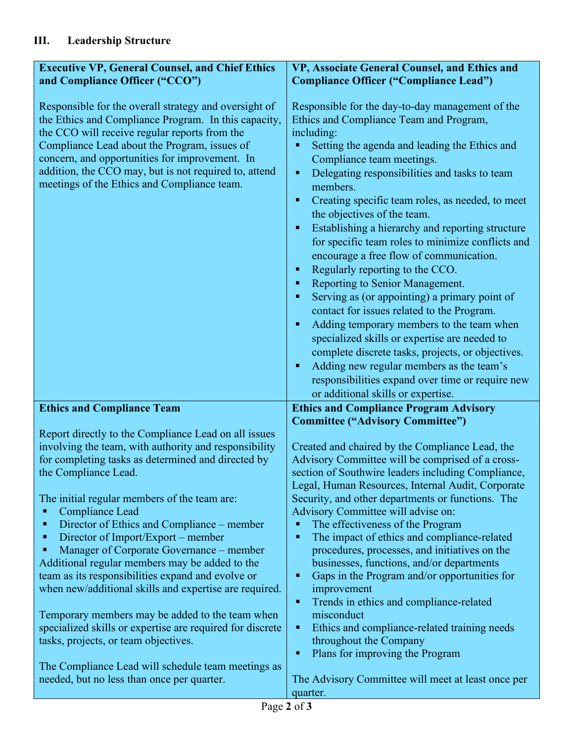| <b>Executive VP, General Counsel, and Chief Ethics</b>                                                                                                                                                                                                                                                                                                                                                     | VP, Associate General Counsel, and Ethics and                                                                                                                                                                                                                                                                                                                                                                                                                                                                                                                                                                                                                                                                                                                                                                                                                                                           |  |
|------------------------------------------------------------------------------------------------------------------------------------------------------------------------------------------------------------------------------------------------------------------------------------------------------------------------------------------------------------------------------------------------------------|---------------------------------------------------------------------------------------------------------------------------------------------------------------------------------------------------------------------------------------------------------------------------------------------------------------------------------------------------------------------------------------------------------------------------------------------------------------------------------------------------------------------------------------------------------------------------------------------------------------------------------------------------------------------------------------------------------------------------------------------------------------------------------------------------------------------------------------------------------------------------------------------------------|--|
| and Compliance Officer ("CCO")<br>Responsible for the overall strategy and oversight of<br>the Ethics and Compliance Program. In this capacity,<br>the CCO will receive regular reports from the<br>Compliance Lead about the Program, issues of<br>concern, and opportunities for improvement. In<br>addition, the CCO may, but is not required to, attend<br>meetings of the Ethics and Compliance team. | <b>Compliance Officer ("Compliance Lead")</b><br>Responsible for the day-to-day management of the<br>Ethics and Compliance Team and Program,<br>including:<br>Setting the agenda and leading the Ethics and<br>Compliance team meetings.<br>Delegating responsibilities and tasks to team<br>п<br>members.<br>Creating specific team roles, as needed, to meet<br>٠<br>the objectives of the team.<br>Establishing a hierarchy and reporting structure<br>٠<br>for specific team roles to minimize conflicts and<br>encourage a free flow of communication.<br>Regularly reporting to the CCO.<br>٠<br>Reporting to Senior Management.<br>п<br>Serving as (or appointing) a primary point of<br>п<br>contact for issues related to the Program.<br>Adding temporary members to the team when<br>п<br>specialized skills or expertise are needed to<br>complete discrete tasks, projects, or objectives. |  |
|                                                                                                                                                                                                                                                                                                                                                                                                            | Adding new regular members as the team's<br>п<br>responsibilities expand over time or require new                                                                                                                                                                                                                                                                                                                                                                                                                                                                                                                                                                                                                                                                                                                                                                                                       |  |
|                                                                                                                                                                                                                                                                                                                                                                                                            | or additional skills or expertise.                                                                                                                                                                                                                                                                                                                                                                                                                                                                                                                                                                                                                                                                                                                                                                                                                                                                      |  |
| <b>Ethics and Compliance Team</b>                                                                                                                                                                                                                                                                                                                                                                          | <b>Ethics and Compliance Program Advisory</b><br><b>Committee ("Advisory Committee")</b>                                                                                                                                                                                                                                                                                                                                                                                                                                                                                                                                                                                                                                                                                                                                                                                                                |  |
| Report directly to the Compliance Lead on all issues<br>involving the team, with authority and responsibility<br>for completing tasks as determined and directed by<br>the Compliance Lead.                                                                                                                                                                                                                | Created and chaired by the Compliance Lead, the<br>Advisory Committee will be comprised of a cross-<br>section of Southwire leaders including Compliance,<br>Legal, Human Resources, Internal Audit, Corporate                                                                                                                                                                                                                                                                                                                                                                                                                                                                                                                                                                                                                                                                                          |  |
| The initial regular members of the team are:<br>Compliance Lead<br>Е<br>Director of Ethics and Compliance – member<br>п<br>Director of Import/Export – member<br>п<br>Manager of Corporate Governance – member<br>Additional regular members may be added to the<br>team as its responsibilities expand and evolve or<br>when new/additional skills and expertise are required.                            | Security, and other departments or functions. The<br>Advisory Committee will advise on:<br>The effectiveness of the Program<br>п<br>The impact of ethics and compliance-related<br>٠<br>procedures, processes, and initiatives on the<br>businesses, functions, and/or departments<br>Gaps in the Program and/or opportunities for<br>٠<br>improvement<br>Trends in ethics and compliance-related<br>٠                                                                                                                                                                                                                                                                                                                                                                                                                                                                                                  |  |
| Temporary members may be added to the team when<br>specialized skills or expertise are required for discrete<br>tasks, projects, or team objectives.                                                                                                                                                                                                                                                       | misconduct<br>Ethics and compliance-related training needs<br>٠<br>throughout the Company<br>Plans for improving the Program<br>п                                                                                                                                                                                                                                                                                                                                                                                                                                                                                                                                                                                                                                                                                                                                                                       |  |
| The Compliance Lead will schedule team meetings as<br>needed, but no less than once per quarter.                                                                                                                                                                                                                                                                                                           | The Advisory Committee will meet at least once per<br>quarter.                                                                                                                                                                                                                                                                                                                                                                                                                                                                                                                                                                                                                                                                                                                                                                                                                                          |  |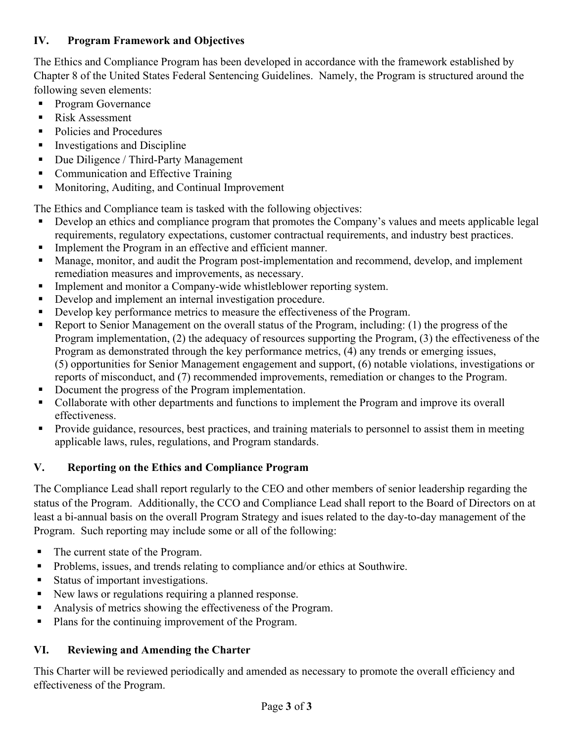#### **IV. Program Framework and Objectives**

The Ethics and Compliance Program has been developed in accordance with the framework established by Chapter 8 of the United States Federal Sentencing Guidelines. Namely, the Program is structured around the following seven elements:

- **Program Governance**
- Risk Assessment
- Policies and Procedures
- **Investigations and Discipline**
- Due Diligence / Third-Party Management
- Communication and Effective Training
- **Monitoring, Auditing, and Continual Improvement**

The Ethics and Compliance team is tasked with the following objectives:

- Develop an ethics and compliance program that promotes the Company's values and meets applicable legal requirements, regulatory expectations, customer contractual requirements, and industry best practices.
- Implement the Program in an effective and efficient manner.
- Manage, monitor, and audit the Program post-implementation and recommend, develop, and implement remediation measures and improvements, as necessary.
- **Implement and monitor a Company-wide whistleblower reporting system.**
- Develop and implement an internal investigation procedure.
- Develop key performance metrics to measure the effectiveness of the Program.
- Report to Senior Management on the overall status of the Program, including: (1) the progress of the Program implementation, (2) the adequacy of resources supporting the Program, (3) the effectiveness of the Program as demonstrated through the key performance metrics, (4) any trends or emerging issues, (5) opportunities for Senior Management engagement and support, (6) notable violations, investigations or reports of misconduct, and (7) recommended improvements, remediation or changes to the Program.
- Document the progress of the Program implementation.
- Collaborate with other departments and functions to implement the Program and improve its overall effectiveness.
- Provide guidance, resources, best practices, and training materials to personnel to assist them in meeting applicable laws, rules, regulations, and Program standards.

### **V. Reporting on the Ethics and Compliance Program**

The Compliance Lead shall report regularly to the CEO and other members of senior leadership regarding the status of the Program. Additionally, the CCO and Compliance Lead shall report to the Board of Directors on at least a bi-annual basis on the overall Program Strategy and isues related to the day-to-day management of the Program. Such reporting may include some or all of the following:

- The current state of the Program.
- **Problems, issues, and trends relating to compliance and/or ethics at Southwire.**
- Status of important investigations.
- New laws or regulations requiring a planned response.
- Analysis of metrics showing the effectiveness of the Program.
- **Plans for the continuing improvement of the Program.**

### **VI. Reviewing and Amending the Charter**

This Charter will be reviewed periodically and amended as necessary to promote the overall efficiency and effectiveness of the Program.